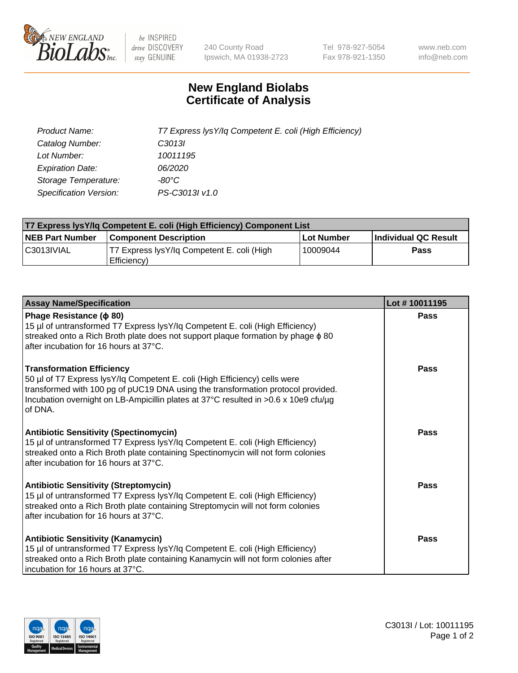

 $be$  INSPIRED drive DISCOVERY stay GENUINE

240 County Road Ipswich, MA 01938-2723 Tel 978-927-5054 Fax 978-921-1350 www.neb.com info@neb.com

## **New England Biolabs Certificate of Analysis**

| Product Name:           | T7 Express lysY/lq Competent E. coli (High Efficiency) |
|-------------------------|--------------------------------------------------------|
| Catalog Number:         | C <sub>3013</sub>                                      |
| Lot Number:             | 10011195                                               |
| <b>Expiration Date:</b> | 06/2020                                                |
| Storage Temperature:    | -80°C                                                  |
| Specification Version:  | PS-C3013I v1.0                                         |

| T7 Express lysY/lq Competent E. coli (High Efficiency) Component List |                                                           |            |                      |  |
|-----------------------------------------------------------------------|-----------------------------------------------------------|------------|----------------------|--|
| <b>NEB Part Number</b>                                                | <b>Component Description</b>                              | Lot Number | Individual QC Result |  |
| C3013IVIAL                                                            | T7 Express lysY/lg Competent E. coli (High<br>Efficiency) | 10009044   | <b>Pass</b>          |  |

| <b>Assay Name/Specification</b>                                                                                                                                                                                                                                                                      | Lot #10011195 |
|------------------------------------------------------------------------------------------------------------------------------------------------------------------------------------------------------------------------------------------------------------------------------------------------------|---------------|
| Phage Resistance ( $\phi$ 80)<br>15 µl of untransformed T7 Express lysY/lq Competent E. coli (High Efficiency)<br>streaked onto a Rich Broth plate does not support plaque formation by phage $\phi$ 80<br>after incubation for 16 hours at 37°C.                                                    | Pass          |
| <b>Transformation Efficiency</b><br>50 µl of T7 Express lysY/lq Competent E. coli (High Efficiency) cells were<br>transformed with 100 pg of pUC19 DNA using the transformation protocol provided.<br>Incubation overnight on LB-Ampicillin plates at 37°C resulted in >0.6 x 10e9 cfu/µg<br>of DNA. | Pass          |
| <b>Antibiotic Sensitivity (Spectinomycin)</b><br>15 µl of untransformed T7 Express lysY/lq Competent E. coli (High Efficiency)<br>streaked onto a Rich Broth plate containing Spectinomycin will not form colonies<br>after incubation for 16 hours at 37°C.                                         | Pass          |
| <b>Antibiotic Sensitivity (Streptomycin)</b><br>15 µl of untransformed T7 Express lysY/lq Competent E. coli (High Efficiency)<br>streaked onto a Rich Broth plate containing Streptomycin will not form colonies<br>after incubation for 16 hours at 37°C.                                           | Pass          |
| <b>Antibiotic Sensitivity (Kanamycin)</b><br>15 µl of untransformed T7 Express lysY/lq Competent E. coli (High Efficiency)<br>streaked onto a Rich Broth plate containing Kanamycin will not form colonies after<br>incubation for 16 hours at 37°C.                                                 | Pass          |